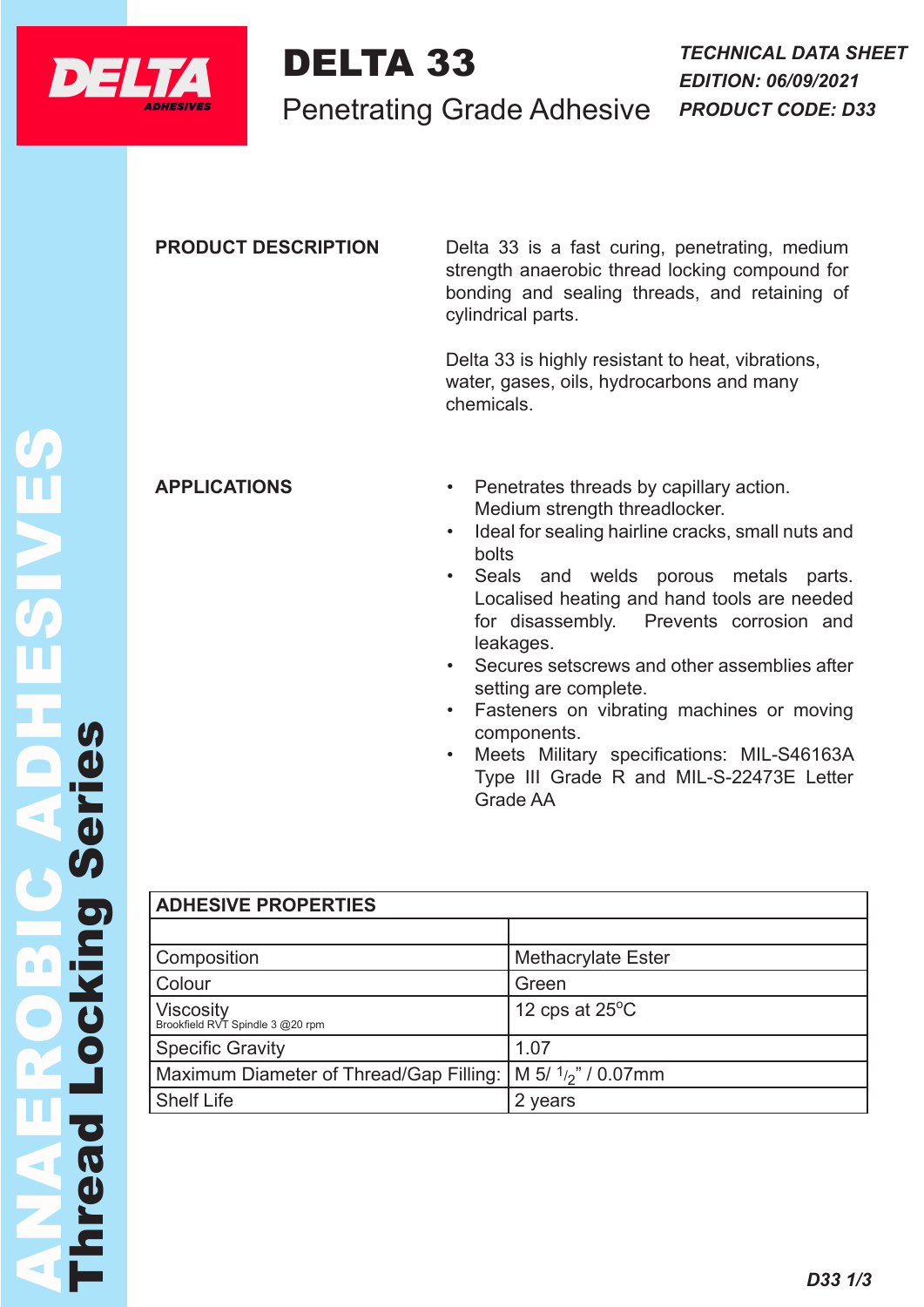

## DELTA 33

Penetrating Grade Adhesive

**PRODUCT DESCRIPTION** Delta 33 is a fast curing, penetrating, medium strength anaerobic thread locking compound for bonding and sealing threads, and retaining of cylindrical parts.

> Delta 33 is highly resistant to heat, vibrations, water, gases, oils, hydrocarbons and many chemicals.

- **APPLICATIONS** Penetrates threads by capillary action. Medium strength threadlocker.
	- Ideal for sealing hairline cracks, small nuts and bolts
	- Seals and welds porous metals parts. Localised heating and hand tools are needed for disassembly. Prevents corrosion and leakages.
	- Secures setscrews and other assemblies after setting are complete.
	- Fasteners on vibrating machines or moving components.
	- Meets Military specifications: MIL-S46163A Type III Grade R and MIL-S-22473E Letter Grade AA

|             | <b>APPLICA</b>                                                                             |
|-------------|--------------------------------------------------------------------------------------------|
|             |                                                                                            |
| eries       |                                                                                            |
| Ŋ           | <b>ADHESIV</b><br>Composit                                                                 |
| ocking      | Colour<br><b>Viscosity</b><br>Brookfield RVT<br>Specific (<br>Maximun<br><b>Shelf Life</b> |
| <b>PLG2</b> |                                                                                            |
|             |                                                                                            |

## *AE PROPERTIES*

| Composition                                                  | <b>Methacrylate Ester</b> |  |
|--------------------------------------------------------------|---------------------------|--|
| Colour                                                       | Green                     |  |
| <b>Viscosity</b><br>Brookfield RVT Spindle 3 @20 rpm         | 12 cps at $25^{\circ}$ C  |  |
| <b>Specific Gravity</b>                                      | 1.07                      |  |
| Maximum Diameter of Thread/Gap Filling:   M 5/ 1/2" / 0.07mm |                           |  |
| <b>Shelf Life</b>                                            | 2 years                   |  |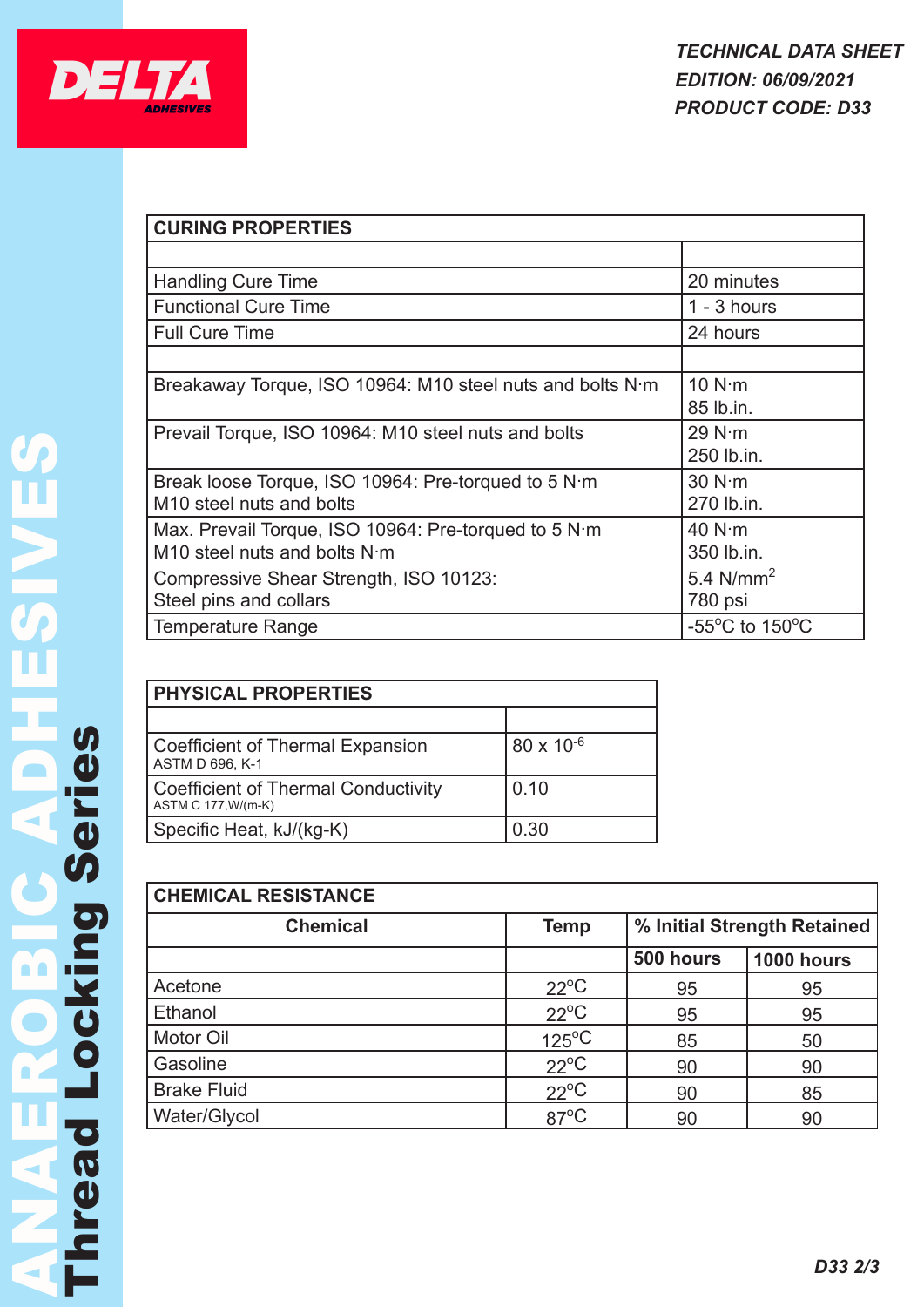

| <b>CURING PROPERTIES</b>                                  |                                     |  |  |  |
|-----------------------------------------------------------|-------------------------------------|--|--|--|
|                                                           |                                     |  |  |  |
| <b>Handling Cure Time</b>                                 | 20 minutes                          |  |  |  |
| <b>Functional Cure Time</b>                               | $1 - 3$ hours                       |  |  |  |
| <b>Full Cure Time</b>                                     | 24 hours                            |  |  |  |
|                                                           |                                     |  |  |  |
| Breakaway Torque, ISO 10964: M10 steel nuts and bolts N·m | 10 N·m                              |  |  |  |
|                                                           | 85 lb.in.                           |  |  |  |
| Prevail Torque, ISO 10964: M10 steel nuts and bolts       | 29 N·m                              |  |  |  |
|                                                           | 250 lb.in.                          |  |  |  |
| Break loose Torque, ISO 10964: Pre-torqued to 5 N m       | 30 N·m                              |  |  |  |
| M <sub>10</sub> steel nuts and bolts                      | 270 lb.in.                          |  |  |  |
| Max. Prevail Torque, ISO 10964: Pre-torqued to 5 N·m      | 40 N·m                              |  |  |  |
| M10 steel nuts and bolts N·m                              | 350 lb.in.                          |  |  |  |
| Compressive Shear Strength, ISO 10123:                    | 5.4 $N/mm2$                         |  |  |  |
| Steel pins and collars                                    | 780 psi                             |  |  |  |
| <b>Temperature Range</b>                                  | $-55^{\circ}$ C to 150 $^{\circ}$ C |  |  |  |

| <b>PHYSICAL PROPERTIES</b>                                        |                     |  |  |
|-------------------------------------------------------------------|---------------------|--|--|
|                                                                   |                     |  |  |
| Coefficient of Thermal Expansion<br>ASTM D 696, K-1               | $80 \times 10^{-6}$ |  |  |
| <b>Coefficient of Thermal Conductivity</b><br>ASTM C 177, W/(m-K) | 0.10                |  |  |
| Specific Heat, kJ/(kg-K)                                          | 0.30                |  |  |

| <b>CHEMICAL RESISTANCE</b> |                 |                             |                   |  |  |
|----------------------------|-----------------|-----------------------------|-------------------|--|--|
| <b>Chemical</b>            | <b>Temp</b>     | % Initial Strength Retained |                   |  |  |
|                            |                 | 500 hours                   | <b>1000 hours</b> |  |  |
| Acetone                    | $22^{\circ}C$   | 95                          | 95                |  |  |
| Ethanol                    | $22^{\circ}C$   | 95                          | 95                |  |  |
| Motor Oil                  | $125^{\circ}$ C | 85                          | 50                |  |  |
| Gasoline                   | $22^{\circ}C$   | 90                          | 90                |  |  |
| <b>Brake Fluid</b>         | $22^{\circ}C$   | 90                          | 85                |  |  |
| Water/Glycol               | $87^{\circ}$ C  | 90                          | 90                |  |  |